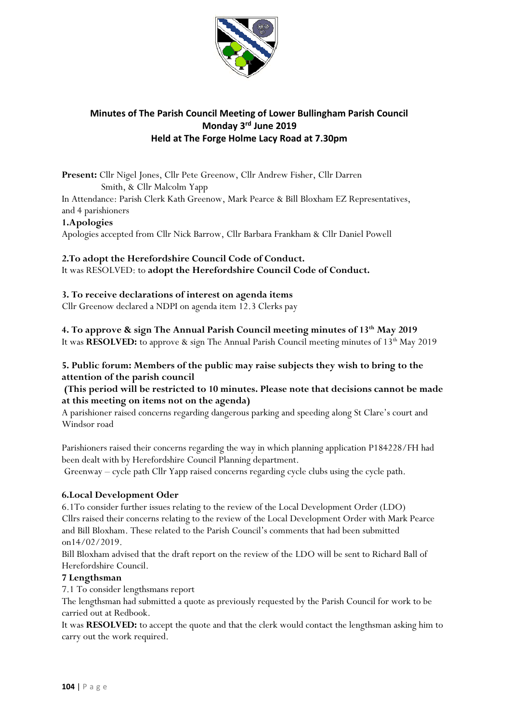

## **Minutes of The Parish Council Meeting of Lower Bullingham Parish Council Monday 3 rd June 2019 Held at The Forge Holme Lacy Road at 7.30pm**

**Present:** Cllr Nigel Jones, Cllr Pete Greenow, Cllr Andrew Fisher, Cllr Darren Smith, & Cllr Malcolm Yapp In Attendance: Parish Clerk Kath Greenow, Mark Pearce & Bill Bloxham EZ Representatives, and 4 parishioners **1.Apologies** 

Apologies accepted from Cllr Nick Barrow, Cllr Barbara Frankham & Cllr Daniel Powell

# **2.To adopt the Herefordshire Council Code of Conduct.**

It was RESOLVED: to **adopt the Herefordshire Council Code of Conduct.**

## **3. To receive declarations of interest on agenda items**

Cllr Greenow declared a NDPI on agenda item 12.3 Clerks pay

**4. To approve & sign The Annual Parish Council meeting minutes of 13th May 2019**  It was **RESOLVED:** to approve & sign The Annual Parish Council meeting minutes of 13<sup>th</sup> May 2019

## **5. Public forum: Members of the public may raise subjects they wish to bring to the attention of the parish council**

## **(This period will be restricted to 10 minutes. Please note that decisions cannot be made at this meeting on items not on the agenda)**

A parishioner raised concerns regarding dangerous parking and speeding along St Clare's court and Windsor road

Parishioners raised their concerns regarding the way in which planning application P184228/FH had been dealt with by Herefordshire Council Planning department.

Greenway – cycle path Cllr Yapp raised concerns regarding cycle clubs using the cycle path.

#### **6.Local Development Oder**

6.1To consider further issues relating to the review of the Local Development Order (LDO) Cllrs raised their concerns relating to the review of the Local Development Order with Mark Pearce and Bill Bloxham. These related to the Parish Council's comments that had been submitted on14/02/2019.

Bill Bloxham advised that the draft report on the review of the LDO will be sent to Richard Ball of Herefordshire Council.

#### **7 Lengthsman**

7.1 To consider lengthsmans report

The lengthsman had submitted a quote as previously requested by the Parish Council for work to be carried out at Redbook.

It was **RESOLVED:** to accept the quote and that the clerk would contact the lengthsman asking him to carry out the work required.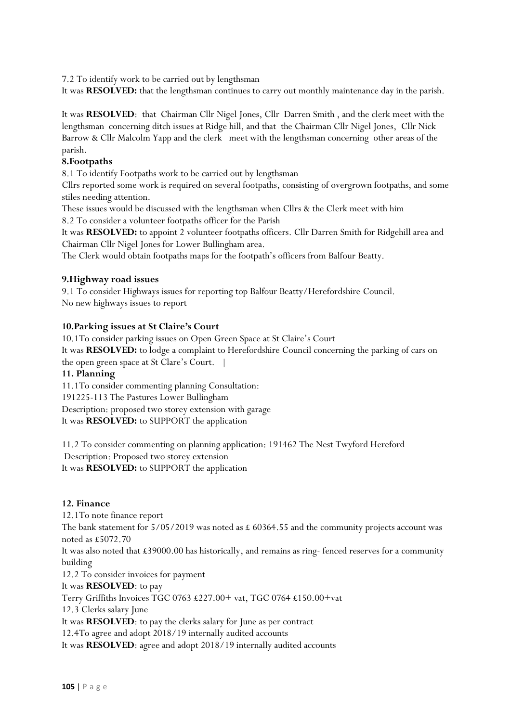7.2 To identify work to be carried out by lengthsman

It was **RESOLVED:** that the lengthsman continues to carry out monthly maintenance day in the parish.

It was **RESOLVED**: that Chairman Cllr Nigel Jones, Cllr Darren Smith , and the clerk meet with the lengthsman concerning ditch issues at Ridge hill, and that the Chairman Cllr Nigel Jones, Cllr Nick Barrow & Cllr Malcolm Yapp and the clerk meet with the lengthsman concerning other areas of the parish.

#### **8.Footpaths**

8.1 To identify Footpaths work to be carried out by lengthsman

Cllrs reported some work is required on several footpaths, consisting of overgrown footpaths, and some stiles needing attention.

These issues would be discussed with the lengthsman when Cllrs & the Clerk meet with him

8.2 To consider a volunteer footpaths officer for the Parish

It was **RESOLVED:** to appoint 2 volunteer footpaths officers. Cllr Darren Smith for Ridgehill area and Chairman Cllr Nigel Jones for Lower Bullingham area.

The Clerk would obtain footpaths maps for the footpath's officers from Balfour Beatty.

#### **9.Highway road issues**

9.1 To consider Highways issues for reporting top Balfour Beatty/Herefordshire Council. No new highways issues to report

#### **10.Parking issues at St Claire's Court**

10.1To consider parking issues on Open Green Space at St Claire's Court It was **RESOLVED:** to lodge a complaint to Herefordshire Council concerning the parking of cars on the open green space at St Clare's Court. |

#### **11. Planning**

11.1To consider commenting planning Consultation: 191225-113 The Pastures Lower Bullingham Description: proposed two storey extension with garage It was **RESOLVED:** to SUPPORT the application

11.2 To consider commenting on planning application: 191462 The Nest Twyford Hereford Description: Proposed two storey extension It was **RESOLVED:** to SUPPORT the application

#### **12. Finance**

12.1To note finance report The bank statement for  $5/05/2019$  was noted as £ 60364.55 and the community projects account was noted as £5072.70 It was also noted that £39000.00 has historically, and remains as ring- fenced reserves for a community building 12.2 To consider invoices for payment It was **RESOLVED**: to pay Terry Griffiths Invoices TGC 0763 £227.00+ vat, TGC 0764 £150.00+vat 12.3 Clerks salary June

It was **RESOLVED**: to pay the clerks salary for June as per contract

12.4To agree and adopt 2018/19 internally audited accounts

It was **RESOLVED**: agree and adopt 2018/19 internally audited accounts